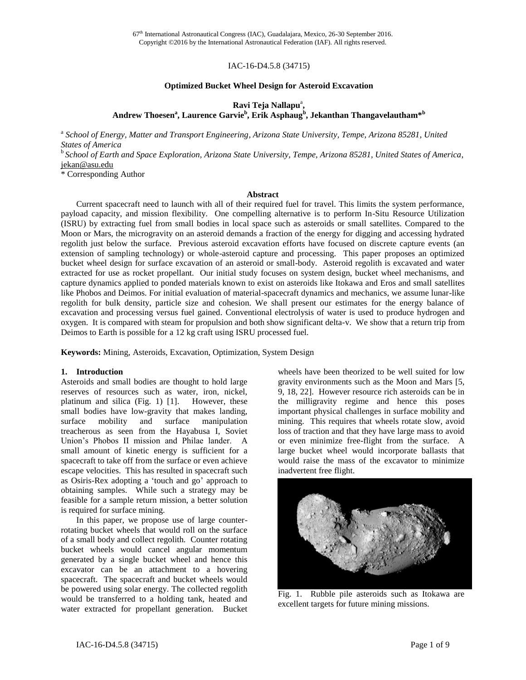67<sup>th</sup> International Astronautical Congress (IAC), Guadalajara, Mexico, 26-30 September 2016. Copyright ©2016 by the International Astronautical Federation (IAF). All rights reserved.

### IAC-16-D4.5.8 (34715)

#### **Optimized Bucket Wheel Design for Asteroid Excavation**

# Ravi Teja Nallapu<sup>a</sup>, **Andrew Thoesen<sup>a</sup> , Laurence Garvie<sup>b</sup> , Erik Asphaug<sup>b</sup> , Jekanthan Thangavelautham\* b**

a *School of Energy, Matter and Transport Engineering, Arizona State University, Tempe, Arizona 85281, United States of America*

b *School of Earth and Space Exploration, Arizona State University, Tempe, Arizona 85281, United States of America*, [jekan@asu.edu](mailto:editor-in-chief@iaamail.org)

\* Corresponding Author

#### **Abstract**

Current spacecraft need to launch with all of their required fuel for travel. This limits the system performance, payload capacity, and mission flexibility. One compelling alternative is to perform In-Situ Resource Utilization (ISRU) by extracting fuel from small bodies in local space such as asteroids or small satellites. Compared to the Moon or Mars, the microgravity on an asteroid demands a fraction of the energy for digging and accessing hydrated regolith just below the surface. Previous asteroid excavation efforts have focused on discrete capture events (an extension of sampling technology) or whole-asteroid capture and processing. This paper proposes an optimized bucket wheel design for surface excavation of an asteroid or small-body. Asteroid regolith is excavated and water extracted for use as rocket propellant. Our initial study focuses on system design, bucket wheel mechanisms, and capture dynamics applied to ponded materials known to exist on asteroids like Itokawa and Eros and small satellites like Phobos and Deimos. For initial evaluation of material-spacecraft dynamics and mechanics, we assume lunar-like regolith for bulk density, particle size and cohesion. We shall present our estimates for the energy balance of excavation and processing versus fuel gained. Conventional electrolysis of water is used to produce hydrogen and oxygen. It is compared with steam for propulsion and both show significant delta-v. We show that a return trip from Deimos to Earth is possible for a 12 kg craft using ISRU processed fuel.

**Keywords:** Mining, Asteroids, Excavation, Optimization, System Design

#### **1. Introduction**

Asteroids and small bodies are thought to hold large reserves of resources such as water, iron, nickel, platinum and silica (Fig. 1) [1]. However, these small bodies have low-gravity that makes landing, surface mobility and surface manipulation treacherous as seen from the Hayabusa I, Soviet Union's Phobos II mission and Philae lander. A small amount of kinetic energy is sufficient for a spacecraft to take off from the surface or even achieve escape velocities. This has resulted in spacecraft such as Osiris-Rex adopting a 'touch and go' approach to obtaining samples. While such a strategy may be feasible for a sample return mission, a better solution is required for surface mining.

In this paper, we propose use of large counterrotating bucket wheels that would roll on the surface of a small body and collect regolith. Counter rotating bucket wheels would cancel angular momentum generated by a single bucket wheel and hence this excavator can be an attachment to a hovering spacecraft. The spacecraft and bucket wheels would be powered using solar energy. The collected regolith would be transferred to a holding tank, heated and water extracted for propellant generation. Bucket

wheels have been theorized to be well suited for low gravity environments such as the Moon and Mars [5, 9, 18, 22]. However resource rich asteroids can be in the milligravity regime and hence this poses important physical challenges in surface mobility and mining. This requires that wheels rotate slow, avoid loss of traction and that they have large mass to avoid or even minimize free-flight from the surface. A large bucket wheel would incorporate ballasts that would raise the mass of the excavator to minimize inadvertent free flight.



Fig. 1. Rubble pile asteroids such as Itokawa are excellent targets for future mining missions.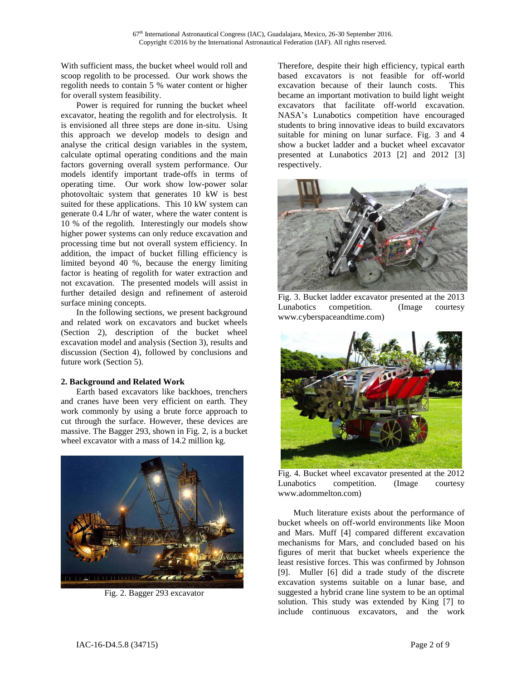With sufficient mass, the bucket wheel would roll and scoop regolith to be processed. Our work shows the regolith needs to contain 5 % water content or higher for overall system feasibility.

Power is required for running the bucket wheel excavator, heating the regolith and for electrolysis. It is envisioned all three steps are done in-situ. Using this approach we develop models to design and analyse the critical design variables in the system, calculate optimal operating conditions and the main factors governing overall system performance. Our models identify important trade-offs in terms of operating time. Our work show low-power solar photovoltaic system that generates 10 kW is best suited for these applications. This 10 kW system can generate 0.4 L/hr of water, where the water content is 10 % of the regolith. Interestingly our models show higher power systems can only reduce excavation and processing time but not overall system efficiency. In addition, the impact of bucket filling efficiency is limited beyond 40 %, because the energy limiting factor is heating of regolith for water extraction and not excavation. The presented models will assist in further detailed design and refinement of asteroid surface mining concepts.

In the following sections, we present background and related work on excavators and bucket wheels (Section 2), description of the bucket wheel excavation model and analysis (Section 3), results and discussion (Section 4), followed by conclusions and future work (Section 5).

# **2. Background and Related Work**

Earth based excavators like backhoes, trenchers and cranes have been very efficient on earth. They work commonly by using a brute force approach to cut through the surface. However, these devices are massive. The Bagger 293, shown in Fig. 2, is a bucket wheel excavator with a mass of 14.2 million kg.



Fig. 2. Bagger 293 excavator

Therefore, despite their high efficiency, typical earth based excavators is not feasible for off-world excavation because of their launch costs. This became an important motivation to build light weight excavators that facilitate off-world excavation. NASA's Lunabotics competition have encouraged students to bring innovative ideas to build excavators suitable for mining on lunar surface. Fig. 3 and 4 show a bucket ladder and a bucket wheel excavator presented at Lunabotics 2013 [2] and 2012 [3] respectively.



Fig. 3. Bucket ladder excavator presented at the 2013 Lunabotics competition. (Image courtesy [www.cyberspaceandtime.com\)](http://www.cyberspaceandtime.com/)



Fig. 4. Bucket wheel excavator presented at the 2012 Lunabotics competition. (Image courtesy [www.adommelton.com\)](http://www.adommelton.com/)

Much literature exists about the performance of bucket wheels on off-world environments like Moon and Mars. Muff [4] compared different excavation mechanisms for Mars, and concluded based on his figures of merit that bucket wheels experience the least resistive forces. This was confirmed by Johnson [9]. Muller [6] did a trade study of the discrete excavation systems suitable on a lunar base, and suggested a hybrid crane line system to be an optimal solution. This study was extended by King [7] to include continuous excavators, and the work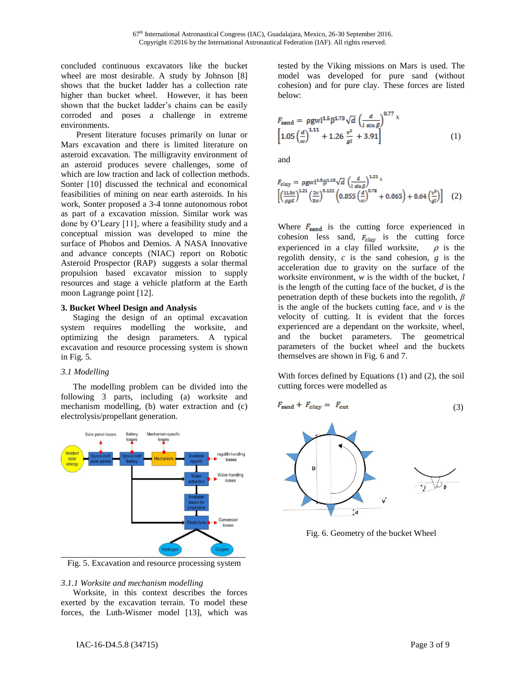concluded continuous excavators like the bucket wheel are most desirable. A study by Johnson [8] shows that the bucket ladder has a collection rate higher than bucket wheel. However, it has been shown that the bucket ladder's chains can be easily corroded and poses a challenge in extreme environments.

Present literature focuses primarily on lunar or Mars excavation and there is limited literature on asteroid excavation. The milligravity environment of an asteroid produces severe challenges, some of which are low traction and lack of collection methods. Sonter [10] discussed the technical and economical feasibilities of mining on near earth asteroids. In his work, Sonter proposed a 3-4 tonne autonomous robot as part of a excavation mission. Similar work was done by O'Leary [11], where a feasibility study and a conceptual mission was developed to mine the surface of Phobos and Demios. A NASA Innovative and advance concepts (NIAC) report on Robotic Asteroid Prospector (RAP) suggests a solar thermal propulsion based excavator mission to supply resources and stage a vehicle platform at the Earth moon Lagrange point [12].

### **3. Bucket Wheel Design and Analysis**

Staging the design of an optimal excavation system requires modelling the worksite, and optimizing the design parameters. A typical excavation and resource processing system is shown in Fig. 5.

# *3.1 Modelling*

The modelling problem can be divided into the following 3 parts, including (a) worksite and mechanism modelling, (b) water extraction and (c) electrolysis/propellant generation.



Fig. 5. Excavation and resource processing system

# *3.1.1 Worksite and mechanism modelling*

Worksite, in this context describes the forces exerted by the excavation terrain. To model these forces, the Luth-Wismer model [13], which was

tested by the Viking missions on Mars is used. The model was developed for pure sand (without cohesion) and for pure clay. These forces are listed below:

$$
F_{\text{sand}} = \rho g w l^{1.5} \beta^{1.73} \sqrt{d} \left(\frac{d}{l \sin \beta}\right)^{0.77} x
$$
  
\n
$$
\left[1.05 \left(\frac{d}{w}\right)^{1.11} + 1.26 \frac{v^2}{gl} + 3.91\right]
$$
 (1)

and

$$
F_{clay} = \rho g w l^{1.5} \beta^{1.15} \sqrt{d} \left(\frac{d}{l \sin \beta}\right)^{1.21} x
$$
  

$$
\left[ \left(\frac{11.5c}{\rho g d}\right)^{1.21} \left(\frac{2v}{3w}\right)^{0.121} \left(0.055 \left(\frac{d}{w}\right)^{0.78} + 0.065\right) + 0.64 \left(\frac{v^2}{g l}\right) \right] (2)
$$

Where  $F_{\text{sand}}$  is the cutting force experienced in cohesion less sand,  $F_{\text{clay}}$  is the cutting force experienced in a clay filled worksite,  $\rho$  is the regolith density, *c* is the sand cohesion, *g* is the acceleration due to gravity on the surface of the worksite environment, *w* is the width of the bucket, *l* is the length of the cutting face of the bucket, *d* is the penetration depth of these buckets into the regolith, *β* is the angle of the buckets cutting face, and  $\nu$  is the velocity of cutting. It is evident that the forces experienced are a dependant on the worksite, wheel, and the bucket parameters. The geometrical parameters of the bucket wheel and the buckets themselves are shown in Fig. 6 and 7.

With forces defined by Equations (1) and (2), the soil cutting forces were modelled as

$$
F_{\text{sand}} + F_{\text{clay}} = F_{\text{cut}} \tag{3}
$$



Fig. 6. Geometry of the bucket Wheel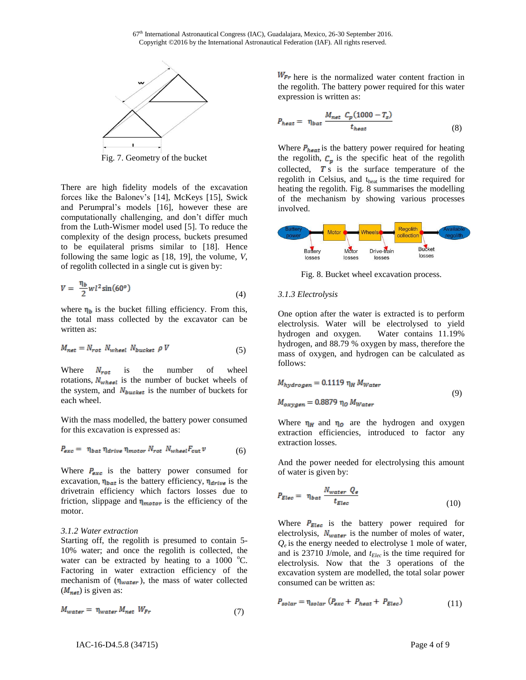

Fig. 7. Geometry of the bucket

There are high fidelity models of the excavation forces like the Balonev's [14], McKeys [15], Swick and Perumpral's models [16], however these are computationally challenging, and don't differ much from the Luth-Wismer model used [5]. To reduce the complexity of the design process, buckets presumed to be equilateral prisms similar to [18]. Hence following the same logic as [18, 19], the volume, *V,* of regolith collected in a single cut is given by:

$$
V = \frac{\eta_b}{2} w l^2 \sin(60^\circ) \tag{4}
$$

where  $\eta_b$  is the bucket filling efficiency. From this, the total mass collected by the excavator can be written as:

$$
M_{net} = N_{rot} N_{wheel} N_{bucket} \rho V \tag{5}
$$

Where  $N_{rot}$  is the number of wheel rotations,  $N_{w$ <sub>heel</sub> is the number of bucket wheels of the system, and  $N_{bucket}$  is the number of buckets for each wheel.

With the mass modelled, the battery power consumed for this excavation is expressed as:

$$
P_{exc} = \eta_{bat} \eta_{drive} \eta_{motor} N_{rot} N_{whesi} F_{cut} v \tag{6}
$$

Where  $P_{\text{exc}}$  is the battery power consumed for excavation,  $\eta_{bat}$  is the battery efficiency,  $\eta_{drive}$  is the drivetrain efficiency which factors losses due to friction, slippage and  $\eta_{motor}$  is the efficiency of the motor.

# *3.1.2 Water extraction*

Starting off, the regolith is presumed to contain 5- 10% water; and once the regolith is collected, the water can be extracted by heating to a  $1000 \degree C$ . Factoring in water extraction efficiency of the mechanism of  $(\eta_{water})$ , the mass of water collected  $(M_{net})$  is given as:

$$
M_{water} = \eta_{water} M_{net} W_{Fr}
$$
\n(7)

 $W_{Fr}$  here is the normalized water content fraction in the regolith. The battery power required for this water expression is written as:

$$
P_{heat} = \eta_{bat} \frac{M_{net} C_p (1000 - T_s)}{t_{heat}} \tag{8}
$$

Where  $P_{heat}$  is the battery power required for heating the regolith,  $C_p$  is the specific heat of the regolith collected,  $\boldsymbol{T}$  s is the surface temperature of the regolith in Celsius, and theat is the time required for heating the regolith. Fig. 8 summarises the modelling of the mechanism by showing various processes involved.



Fig. 8. Bucket wheel excavation process.

# *3.1.3 Electrolysis*

One option after the water is extracted is to perform electrolysis. Water will be electrolysed to yield hydrogen and oxygen. Water contains 11.19% hydrogen, and 88.79 % oxygen by mass, therefore the mass of oxygen, and hydrogen can be calculated as follows:

$$
M_{hydrogen} = 0.1119 \eta_H M_{Water}
$$
  

$$
M_{oxygen} = 0.8879 \eta_O M_{Water}
$$
 (9)

Where  $\eta_H$  and  $\eta_O$  are the hydrogen and oxygen extraction efficiencies, introduced to factor any extraction losses.

And the power needed for electrolysing this amount of water is given by:

$$
P_{Elec} = \eta_{bat} \frac{N_{water} Q_e}{t_{Elec}} \tag{10}
$$

Where  $P_{Elec}$  is the battery power required for electrolysis,  $N_{water}$  is the number of moles of water,  $Q_e$  is the energy needed to electrolyse 1 mole of water, and is 23710 J/mole, and *tElec* is the time required for electrolysis. Now that the 3 operations of the excavation system are modelled, the total solar power consumed can be written as:

$$
P_{solar} = \eta_{solar} \left( P_{exc} + P_{heat} + P_{Elec} \right) \tag{11}
$$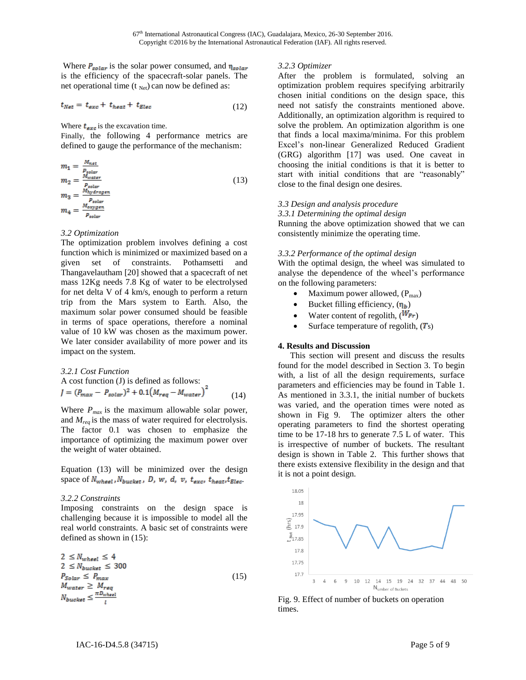Where  $P_{solar}$  is the solar power consumed, and  $\eta_{solar}$ is the efficiency of the spacecraft-solar panels. The net operational time ( $t_{Net}$ ) can now be defined as:

$$
t_{Net} = t_{exc} + t_{heat} + t_{Elec}
$$
 (12)

Where  $t_{exc}$  is the excavation time.

Finally, the following 4 performance metrics are defined to gauge the performance of the mechanism:

$$
m_1 = \frac{M_{\text{net}}}{P_{\text{solar}}}
$$
  
\n
$$
m_2 = \frac{M_{\text{water}}}{P_{\text{solar}}}
$$
  
\n
$$
m_3 = \frac{M_{\text{hydrogen}}}{P_{\text{solar}}}
$$
  
\n
$$
m_4 = \frac{M_{\text{exygen}}}{P_{\text{solar}}}
$$
\n(13)

### *3.2 Optimization*

The optimization problem involves defining a cost function which is minimized or maximized based on a given set of constraints. Pothamsetti and Thangavelautham [20] showed that a spacecraft of net mass 12Kg needs 7.8 Kg of water to be electrolysed for net delta V of 4 km/s, enough to perform a return trip from the Mars system to Earth. Also, the maximum solar power consumed should be feasible in terms of space operations, therefore a nominal value of 10 kW was chosen as the maximum power. We later consider availability of more power and its impact on the system.

3.2.1 Cost Function  
A cost function (J) is defined as follows:  

$$
J = (P_{max} - P_{solar})^2 + 0.1(M_{reg} - M_{water})^2
$$
(14)

Where  $P_{max}$  is the maximum allowable solar power, and *Mreq* is the mass of water required for electrolysis. The factor 0.1 was chosen to emphasize the importance of optimizing the maximum power over the weight of water obtained.

Equation (13) will be minimized over the design space of  $N_{wheat}$ ,  $N_{bucket}$ ,  $D$ ,  $w$ ,  $d$ ,  $v$ ,  $t_{exc}$ ,  $t_{heat}$ ,  $t_{Elec}$ .

# *3.2.2 Constraints*

Imposing constraints on the design space is challenging because it is impossible to model all the real world constraints. A basic set of constraints were defined as shown in (15):

$$
2 \leq N_{whsel} \leq 4
$$
  
\n
$$
2 \leq N_{buckets} \leq 300
$$
  
\n
$$
P_{Solar} \leq P_{max}
$$
  
\n
$$
M_{water} \geq M_{reg}
$$
  
\n
$$
N_{buckets} \leq \frac{\pi D_{whsel}}{I}
$$
\n(15)

#### *3.2.3 Optimizer*

After the problem is formulated, solving an optimization problem requires specifying arbitrarily chosen initial conditions on the design space, this need not satisfy the constraints mentioned above. Additionally, an optimization algorithm is required to solve the problem. An optimization algorithm is one that finds a local maxima/minima. For this problem Excel's non-linear Generalized Reduced Gradient (GRG) algorithm [17] was used. One caveat in choosing the initial conditions is that it is better to start with initial conditions that are "reasonably" close to the final design one desires.

### *3.3 Design and analysis procedure*

*3.3.1 Determining the optimal design*

Running the above optimization showed that we can consistently minimize the operating time.

### *3.3.2 Performance of the optimal design*

With the optimal design, the wheel was simulated to analyse the dependence of the wheel's performance on the following parameters:

- Maximum power allowed,  $(P_{max})$
- Bucket filling efficiency,  $(\eta_b)$
- Water content of regolith,  $(W_{Fr})$
- Surface temperature of regolith,  $(T<sub>s</sub>)$

# **4. Results and Discussion**

This section will present and discuss the results found for the model described in Section 3. To begin with, a list of all the design requirements, surface parameters and efficiencies may be found in Table 1. As mentioned in 3.3.1, the initial number of buckets was varied, and the operation times were noted as shown in Fig 9. The optimizer alters the other operating parameters to find the shortest operating time to be 17-18 hrs to generate 7.5 L of water. This is irrespective of number of buckets. The resultant design is shown in Table 2. This further shows that there exists extensive flexibility in the design and that it is not a point design.



Fig. 9. Effect of number of buckets on operation times.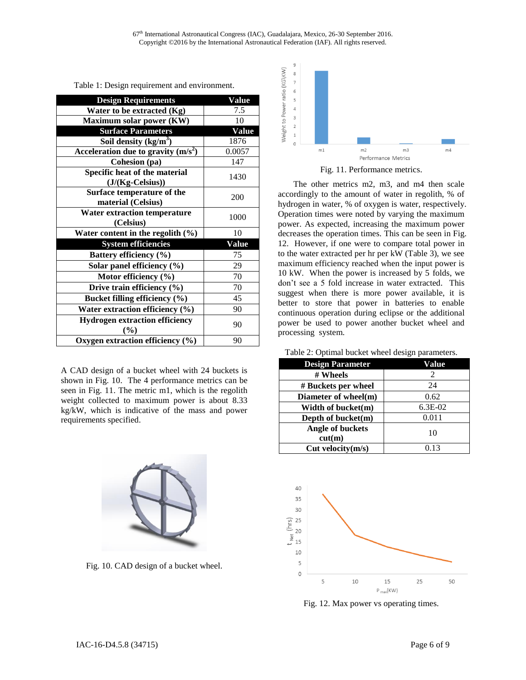| <b>Design Requirements</b>            | Value        |
|---------------------------------------|--------------|
| Water to be extracted $(Kg)$          | 7.5          |
| Maximum solar power (KW)              | 10           |
| <b>Surface Parameters</b>             | <b>Value</b> |
| Soil density $(kg/m3)$                | 1876         |
| Acceleration due to gravity $(m/s2)$  | 0.0057       |
| Cohesion (pa)                         | 147          |
|                                       |              |
| Specific heat of the material         | 1430         |
| $(J/(Kg-Celsius))$                    |              |
| Surface temperature of the            | 200          |
| material (Celsius)                    |              |
| <b>Water extraction temperature</b>   | 1000         |
| (Celsius)                             |              |
| Water content in the regolith $(\% )$ | 10           |
| <b>System efficiencies</b>            | <b>Value</b> |
| Battery efficiency (%)                | 75           |
| Solar panel efficiency (%)            | 29           |
| Motor efficiency $(\% )$              | 70           |
| Drive train efficiency $(\% )$        | 70           |
| Bucket filling efficiency (%)         | 45           |
| Water extraction efficiency (%)       | 90           |
| <b>Hydrogen extraction efficiency</b> |              |
| (%)                                   | 90           |
| Oxygen extraction efficiency (%)      | 90           |

Table 1: Design requirement and environment.

A CAD design of a bucket wheel with 24 buckets is shown in Fig. 10. The 4 performance metrics can be seen in Fig. 11. The metric m1, which is the regolith weight collected to maximum power is about 8.33 kg/kW, which is indicative of the mass and power requirements specified.



Fig. 10. CAD design of a bucket wheel.





The other metrics m2, m3, and m4 then scale accordingly to the amount of water in regolith, % of hydrogen in water, % of oxygen is water, respectively. Operation times were noted by varying the maximum power. As expected, increasing the maximum power decreases the operation times. This can be seen in Fig. 12. However, if one were to compare total power in to the water extracted per hr per kW (Table 3), we see maximum efficiency reached when the input power is 10 kW. When the power is increased by 5 folds, we don't see a 5 fold increase in water extracted. This suggest when there is more power available, it is better to store that power in batteries to enable continuous operation during eclipse or the additional power be used to power another bucket wheel and processing system.

|  |  | Table 2: Optimal bucket wheel design parameters. |
|--|--|--------------------------------------------------|
|  |  |                                                  |

| <b>Design Parameter</b> | Value                       |  |
|-------------------------|-----------------------------|--|
| # Wheels                | $\mathcal{D}_{\mathcal{L}}$ |  |
| # Buckets per wheel     | 24                          |  |
| Diameter of wheel(m)    | 0.62                        |  |
| Width of bucket(m)      | $6.3E-02$                   |  |
| Depth of bucket(m)      | 0.011                       |  |
| Angle of buckets        | 10                          |  |
| cut(m)                  |                             |  |
| Cut velocity(m/s)       | 0.13                        |  |



Fig. 12. Max power vs operating times.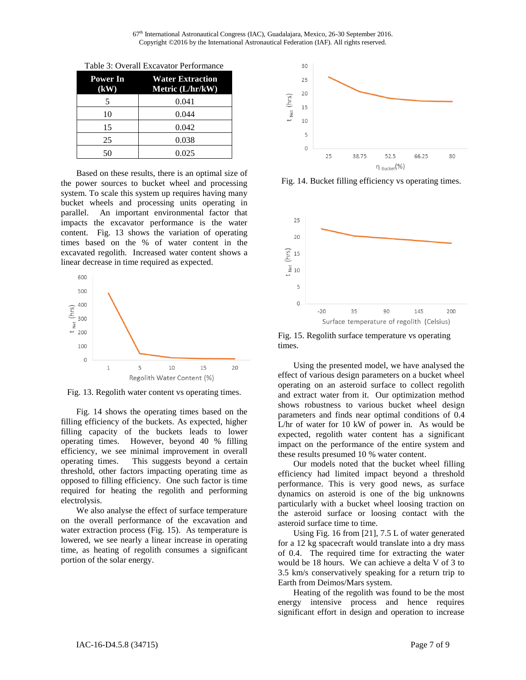67<sup>th</sup> International Astronautical Congress (IAC), Guadalajara, Mexico, 26-30 September 2016. Copyright ©2016 by the International Astronautical Federation (IAF). All rights reserved.

| Power In<br>(kW) | <b>Water Extraction</b><br>Metric (L/hr/kW) |
|------------------|---------------------------------------------|
| 5                | 0.041                                       |
| 10               | 0.044                                       |
| 15               | 0.042                                       |
| 25               | 0.038                                       |
| 50               | 0.025                                       |

Table 3: Overall Excavator Performance

Based on these results, there is an optimal size of the power sources to bucket wheel and processing system. To scale this system up requires having many bucket wheels and processing units operating in parallel. An important environmental factor that impacts the excavator performance is the water content. Fig. 13 shows the variation of operating times based on the % of water content in the excavated regolith. Increased water content shows a linear decrease in time required as expected.



Fig. 13. Regolith water content vs operating times.

Fig. 14 shows the operating times based on the filling efficiency of the buckets. As expected, higher filling capacity of the buckets leads to lower operating times. However, beyond 40 % filling efficiency, we see minimal improvement in overall operating times. This suggests beyond a certain threshold, other factors impacting operating time as opposed to filling efficiency. One such factor is time required for heating the regolith and performing electrolysis.

We also analyse the effect of surface temperature on the overall performance of the excavation and water extraction process (Fig. 15). As temperature is lowered, we see nearly a linear increase in operating time, as heating of regolith consumes a significant portion of the solar energy.



Fig. 14. Bucket filling efficiency vs operating times.



Fig. 15. Regolith surface temperature vs operating times.

Using the presented model, we have analysed the effect of various design parameters on a bucket wheel operating on an asteroid surface to collect regolith and extract water from it. Our optimization method shows robustness to various bucket wheel design parameters and finds near optimal conditions of 0.4 L/hr of water for 10 kW of power in. As would be expected, regolith water content has a significant impact on the performance of the entire system and these results presumed 10 % water content.

Our models noted that the bucket wheel filling efficiency had limited impact beyond a threshold performance. This is very good news, as surface dynamics on asteroid is one of the big unknowns particularly with a bucket wheel loosing traction on the asteroid surface or loosing contact with the asteroid surface time to time.

Using Fig. 16 from [21], 7.5 L of water generated for a 12 kg spacecraft would translate into a dry mass of 0.4. The required time for extracting the water would be 18 hours. We can achieve a delta V of 3 to 3.5 km/s conservatively speaking for a return trip to Earth from Deimos/Mars system.

Heating of the regolith was found to be the most energy intensive process and hence requires significant effort in design and operation to increase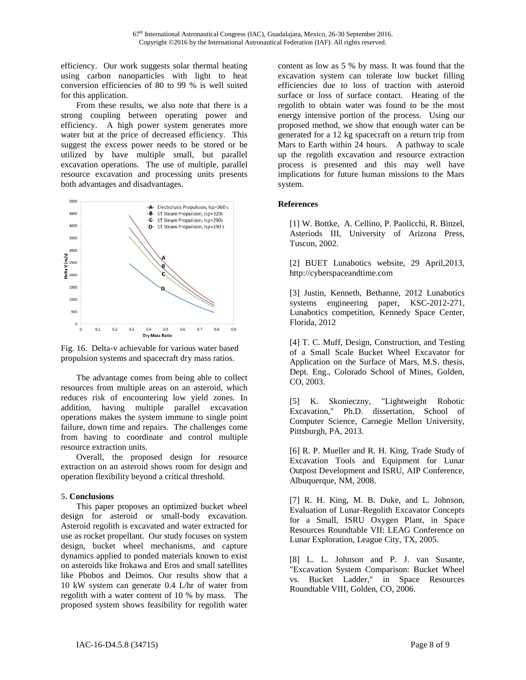efficiency. Our work suggests solar thermal heating using carbon nanoparticles with light to heat conversion efficiencies of 80 to 99 % is well suited for this application.

From these results, we also note that there is a strong coupling between operating power and efficiency. A high power system generates more water but at the price of decreased efficiency. This suggest the excess power needs to be stored or be utilized by have multiple small, but parallel excavation operations. The use of multiple, parallel resource excavation and processing units presents both advantages and disadvantages.



Fig. 16. Delta-v achievable for various water based propulsion systems and spacecraft dry mass ratios.

The advantage comes from being able to collect resources from multiple areas on an asteroid, which reduces risk of encountering low yield zones. In addition, having multiple parallel excavation operations makes the system immune to single point failure, down time and repairs. The challenges come from having to coordinate and control multiple resource extraction units.

Overall, the proposed design for resource extraction on an asteroid shows room for design and operation flexibility beyond a critical threshold.

# **5. Conclusions**

This paper proposes an optimized bucket wheel design for asteroid or small-body excavation. Asteroid regolith is excavated and water extracted for use as rocket propellant. Our study focuses on system design, bucket wheel mechanisms, and capture dynamics applied to ponded materials known to exist on asteroids like Itokawa and Eros and small satellites like Phobos and Deimos. Our results show that a 10 kW system can generate 0.4 L/hr of water from regolith with a water content of 10 % by mass. The proposed system shows feasibility for regolith water

content as low as 5 % by mass. It was found that the excavation system can tolerate low bucket filling efficiencies due to loss of traction with asteroid surface or loss of surface contact. Heating of the regolith to obtain water was found to be the most energy intensive portion of the process. Using our proposed method, we show that enough water can be generated for a 12 kg spacecraft on a return trip from Mars to Earth within 24 hours. A pathway to scale up the regolith excavation and resource extraction process is presented and this may well have implications for future human missions to the Mars system.

# **References**

[1] W. Bottke, A. Cellino, P. Paolicchi, R. Binzel, Asteriods III, University of Arizona Press, Tuscon, 2002.

[2] BUET Lunabotics website, 29 April,2013, [http://cyberspaceandtime.com](http://cyberspaceandtime.com/)

[3] Justin, Kenneth, Bethanne, 2012 Lunabotics systems engineering paper, KSC-2012-271, Lunabotics competition, Kennedy Space Center, Florida, 2012

[4] T. C. Muff, Design, Construction, and Testing of a Small Scale Bucket Wheel Excavator for Application on the Surface of Mars, M.S. thesis, Dept. Eng., Colorado School of Mines, Golden, CO, 2003.

[5] K. Skonieczny, "Lightweight Robotic Excavation," Ph.D. dissertation, School of Computer Science, Carnegie Mellon University, Pittsburgh, PA, 2013.

[6] R. P. Mueller and R. H. King, Trade Study of Excavation Tools and Equipment for Lunar Outpost Development and ISRU, AIP Conference, Albuquerque, NM, 2008.

[7] R. H. King, M. B. Duke, and L. Johnson, Evaluation of Lunar-Regolith Excavator Concepts for a Small, ISRU Oxygen Plant, in Space Resources Roundtable VII: LEAG Conference on Lunar Exploration, League City, TX, 2005.

[8] L. L. Johnson and P. J. van Susante, "Excavation System Comparison: Bucket Wheel vs. Bucket Ladder," in Space Resources Roundtable VIII, Golden, CO, 2006.